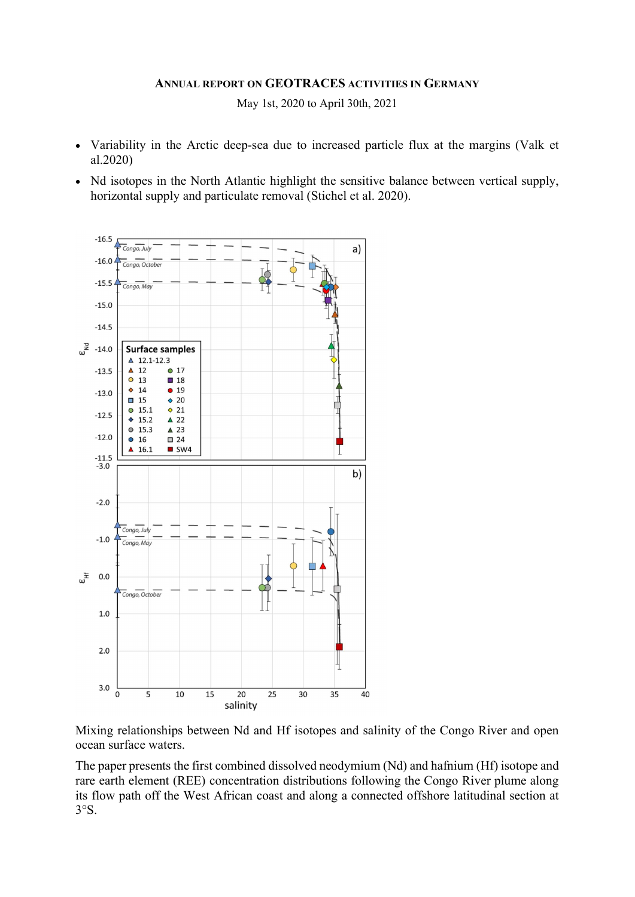#### ANNUAL REPORT ON GEOTRACES ACTIVITIES IN GERMANY

May 1st, 2020 to April 30th, 2021

- Variability in the Arctic deep-sea due to increased particle flux at the margins (Valk et al.2020)
- Nd isotopes in the North Atlantic highlight the sensitive balance between vertical supply, horizontal supply and particulate removal (Stichel et al. 2020).



Mixing relationships between Nd and Hf isotopes and salinity of the Congo River and open ocean surface waters.

The paper presents the first combined dissolved neodymium (Nd) and hafnium (Hf) isotope and rare earth element (REE) concentration distributions following the Congo River plume along its flow path off the West African coast and along a connected offshore latitudinal section at 3°S.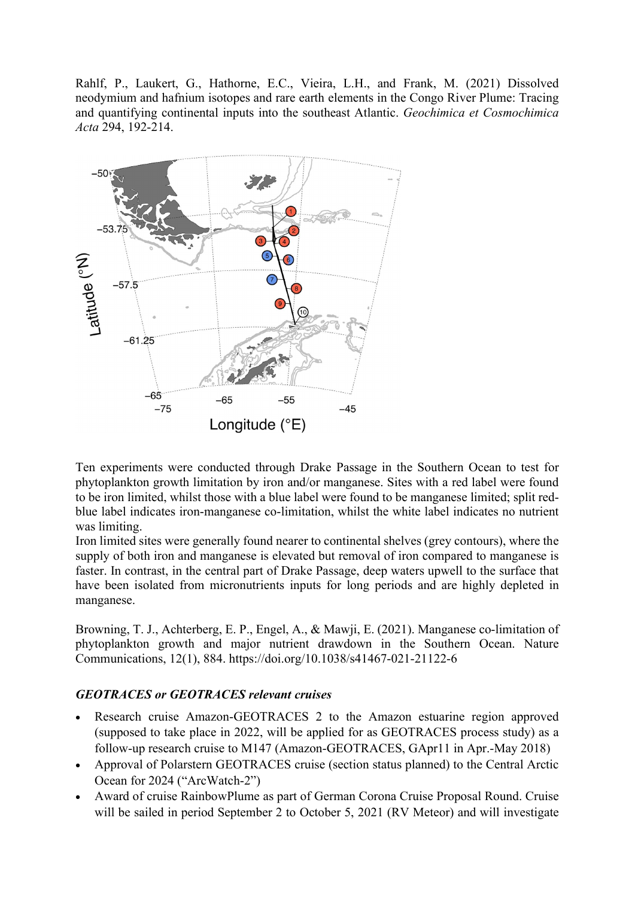Rahlf, P., Laukert, G., Hathorne, E.C., Vieira, L.H., and Frank, M. (2021) Dissolved neodymium and hafnium isotopes and rare earth elements in the Congo River Plume: Tracing and quantifying continental inputs into the southeast Atlantic. Geochimica et Cosmochimica Acta 294, 192-214.



Ten experiments were conducted through Drake Passage in the Southern Ocean to test for phytoplankton growth limitation by iron and/or manganese. Sites with a red label were found to be iron limited, whilst those with a blue label were found to be manganese limited; split redblue label indicates iron-manganese co-limitation, whilst the white label indicates no nutrient was limiting.

Iron limited sites were generally found nearer to continental shelves (grey contours), where the supply of both iron and manganese is elevated but removal of iron compared to manganese is faster. In contrast, in the central part of Drake Passage, deep waters upwell to the surface that have been isolated from micronutrients inputs for long periods and are highly depleted in manganese.

Browning, T. J., Achterberg, E. P., Engel, A., & Mawji, E. (2021). Manganese co-limitation of phytoplankton growth and major nutrient drawdown in the Southern Ocean. Nature Communications, 12(1), 884. https://doi.org/10.1038/s41467-021-21122-6

#### GEOTRACES or GEOTRACES relevant cruises

- Research cruise Amazon-GEOTRACES 2 to the Amazon estuarine region approved (supposed to take place in 2022, will be applied for as GEOTRACES process study) as a follow-up research cruise to M147 (Amazon-GEOTRACES, GApr11 in Apr.-May 2018)
- Approval of Polarstern GEOTRACES cruise (section status planned) to the Central Arctic Ocean for 2024 ("ArcWatch-2")
- Award of cruise RainbowPlume as part of German Corona Cruise Proposal Round. Cruise will be sailed in period September 2 to October 5, 2021 (RV Meteor) and will investigate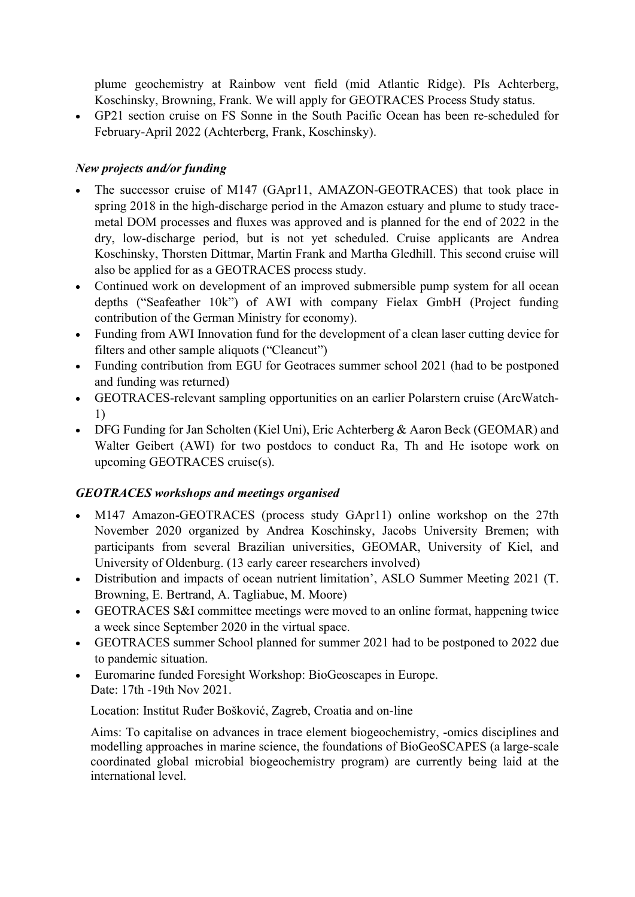plume geochemistry at Rainbow vent field (mid Atlantic Ridge). PIs Achterberg, Koschinsky, Browning, Frank. We will apply for GEOTRACES Process Study status.

 GP21 section cruise on FS Sonne in the South Pacific Ocean has been re-scheduled for February-April 2022 (Achterberg, Frank, Koschinsky).

# New projects and/or funding

- The successor cruise of M147 (GApr11, AMAZON-GEOTRACES) that took place in spring 2018 in the high-discharge period in the Amazon estuary and plume to study tracemetal DOM processes and fluxes was approved and is planned for the end of 2022 in the dry, low-discharge period, but is not yet scheduled. Cruise applicants are Andrea Koschinsky, Thorsten Dittmar, Martin Frank and Martha Gledhill. This second cruise will also be applied for as a GEOTRACES process study.
- Continued work on development of an improved submersible pump system for all ocean depths ("Seafeather 10k") of AWI with company Fielax GmbH (Project funding contribution of the German Ministry for economy).
- Funding from AWI Innovation fund for the development of a clean laser cutting device for filters and other sample aliquots ("Cleancut")
- Funding contribution from EGU for Geotraces summer school 2021 (had to be postponed and funding was returned)
- GEOTRACES-relevant sampling opportunities on an earlier Polarstern cruise (ArcWatch-1)
- DFG Funding for Jan Scholten (Kiel Uni), Eric Achterberg & Aaron Beck (GEOMAR) and Walter Geibert (AWI) for two postdocs to conduct Ra, Th and He isotope work on upcoming GEOTRACES cruise(s).

## GEOTRACES workshops and meetings organised

- M147 Amazon-GEOTRACES (process study GApr11) online workshop on the 27th November 2020 organized by Andrea Koschinsky, Jacobs University Bremen; with participants from several Brazilian universities, GEOMAR, University of Kiel, and University of Oldenburg. (13 early career researchers involved)
- Distribution and impacts of ocean nutrient limitation', ASLO Summer Meeting 2021 (T. Browning, E. Bertrand, A. Tagliabue, M. Moore)
- GEOTRACES S&I committee meetings were moved to an online format, happening twice a week since September 2020 in the virtual space.
- GEOTRACES summer School planned for summer 2021 had to be postponed to 2022 due to pandemic situation.
- Euromarine funded Foresight Workshop: BioGeoscapes in Europe. Date: 17th -19th Nov 2021.

Location: Institut Ruđer Bošković, Zagreb, Croatia and on-line

Aims: To capitalise on advances in trace element biogeochemistry, -omics disciplines and modelling approaches in marine science, the foundations of BioGeoSCAPES (a large-scale coordinated global microbial biogeochemistry program) are currently being laid at the international level.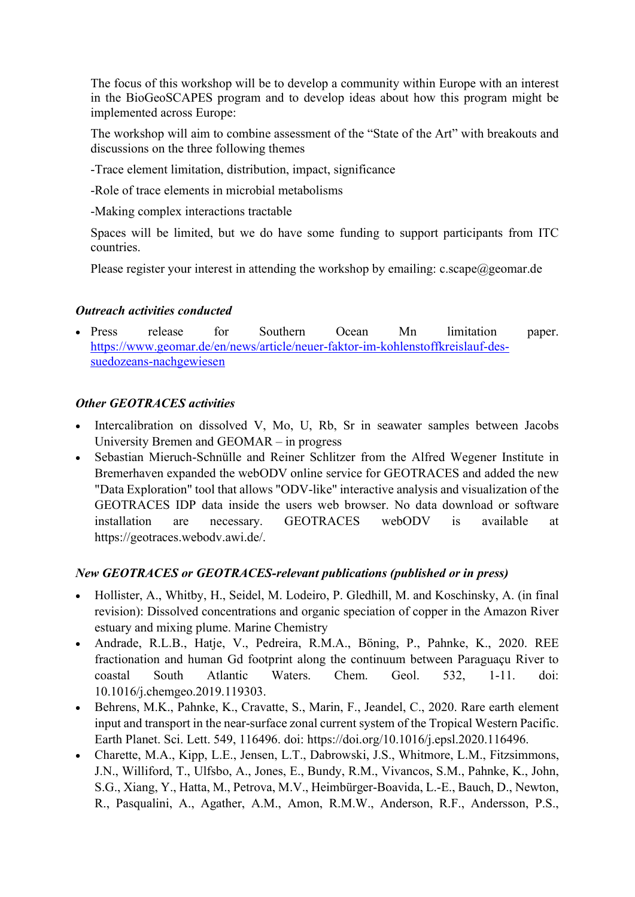The focus of this workshop will be to develop a community within Europe with an interest in the BioGeoSCAPES program and to develop ideas about how this program might be implemented across Europe:

The workshop will aim to combine assessment of the "State of the Art" with breakouts and discussions on the three following themes

-Trace element limitation, distribution, impact, significance

-Role of trace elements in microbial metabolisms

-Making complex interactions tractable

Spaces will be limited, but we do have some funding to support participants from ITC countries.

Please register your interest in attending the workshop by emailing: c.scape@geomar.de

## Outreach activities conducted

 Press release for Southern Ocean Mn limitation paper. https://www.geomar.de/en/news/article/neuer-faktor-im-kohlenstoffkreislauf-dessuedozeans-nachgewiesen

## Other GEOTRACES activities

- Intercalibration on dissolved V, Mo, U, Rb, Sr in seawater samples between Jacobs University Bremen and GEOMAR – in progress
- Sebastian Mieruch-Schnülle and Reiner Schlitzer from the Alfred Wegener Institute in Bremerhaven expanded the webODV online service for GEOTRACES and added the new "Data Exploration" tool that allows "ODV-like" interactive analysis and visualization of the GEOTRACES IDP data inside the users web browser. No data download or software installation are necessary. GEOTRACES webODV is available at https://geotraces.webodv.awi.de/.

## New GEOTRACES or GEOTRACES-relevant publications (published or in press)

- Hollister, A., Whitby, H., Seidel, M. Lodeiro, P. Gledhill, M. and Koschinsky, A. (in final revision): Dissolved concentrations and organic speciation of copper in the Amazon River estuary and mixing plume. Marine Chemistry
- Andrade, R.L.B., Hatje, V., Pedreira, R.M.A., Böning, P., Pahnke, K., 2020. REE fractionation and human Gd footprint along the continuum between Paraguaçu River to coastal South Atlantic Waters. Chem. Geol. 532, 1-11. doi: 10.1016/j.chemgeo.2019.119303.
- Behrens, M.K., Pahnke, K., Cravatte, S., Marin, F., Jeandel, C., 2020. Rare earth element input and transport in the near-surface zonal current system of the Tropical Western Pacific. Earth Planet. Sci. Lett. 549, 116496. doi: https://doi.org/10.1016/j.epsl.2020.116496.
- Charette, M.A., Kipp, L.E., Jensen, L.T., Dabrowski, J.S., Whitmore, L.M., Fitzsimmons, J.N., Williford, T., Ulfsbo, A., Jones, E., Bundy, R.M., Vivancos, S.M., Pahnke, K., John, S.G., Xiang, Y., Hatta, M., Petrova, M.V., Heimbürger-Boavida, L.-E., Bauch, D., Newton, R., Pasqualini, A., Agather, A.M., Amon, R.M.W., Anderson, R.F., Andersson, P.S.,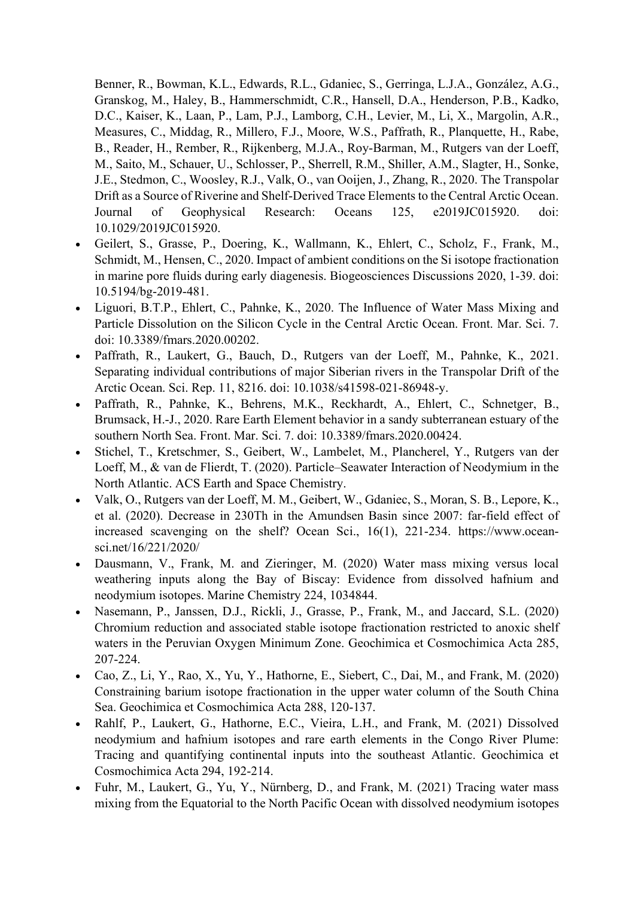Benner, R., Bowman, K.L., Edwards, R.L., Gdaniec, S., Gerringa, L.J.A., González, A.G., Granskog, M., Haley, B., Hammerschmidt, C.R., Hansell, D.A., Henderson, P.B., Kadko, D.C., Kaiser, K., Laan, P., Lam, P.J., Lamborg, C.H., Levier, M., Li, X., Margolin, A.R., Measures, C., Middag, R., Millero, F.J., Moore, W.S., Paffrath, R., Planquette, H., Rabe, B., Reader, H., Rember, R., Rijkenberg, M.J.A., Roy-Barman, M., Rutgers van der Loeff, M., Saito, M., Schauer, U., Schlosser, P., Sherrell, R.M., Shiller, A.M., Slagter, H., Sonke, J.E., Stedmon, C., Woosley, R.J., Valk, O., van Ooijen, J., Zhang, R., 2020. The Transpolar Drift as a Source of Riverine and Shelf-Derived Trace Elements to the Central Arctic Ocean. Journal of Geophysical Research: Oceans 125, e2019JC015920. doi: 10.1029/2019JC015920.

- Geilert, S., Grasse, P., Doering, K., Wallmann, K., Ehlert, C., Scholz, F., Frank, M., Schmidt, M., Hensen, C., 2020. Impact of ambient conditions on the Si isotope fractionation in marine pore fluids during early diagenesis. Biogeosciences Discussions 2020, 1-39. doi: 10.5194/bg-2019-481.
- Liguori, B.T.P., Ehlert, C., Pahnke, K., 2020. The Influence of Water Mass Mixing and Particle Dissolution on the Silicon Cycle in the Central Arctic Ocean. Front. Mar. Sci. 7. doi: 10.3389/fmars.2020.00202.
- Paffrath, R., Laukert, G., Bauch, D., Rutgers van der Loeff, M., Pahnke, K., 2021. Separating individual contributions of major Siberian rivers in the Transpolar Drift of the Arctic Ocean. Sci. Rep. 11, 8216. doi: 10.1038/s41598-021-86948-y.
- Paffrath, R., Pahnke, K., Behrens, M.K., Reckhardt, A., Ehlert, C., Schnetger, B., Brumsack, H.-J., 2020. Rare Earth Element behavior in a sandy subterranean estuary of the southern North Sea. Front. Mar. Sci. 7. doi: 10.3389/fmars.2020.00424.
- Stichel, T., Kretschmer, S., Geibert, W., Lambelet, M., Plancherel, Y., Rutgers van der Loeff, M., & van de Flierdt, T. (2020). Particle–Seawater Interaction of Neodymium in the North Atlantic. ACS Earth and Space Chemistry.
- Valk, O., Rutgers van der Loeff, M. M., Geibert, W., Gdaniec, S., Moran, S. B., Lepore, K., et al. (2020). Decrease in 230Th in the Amundsen Basin since 2007: far-field effect of increased scavenging on the shelf? Ocean Sci., 16(1), 221-234. https://www.oceansci.net/16/221/2020/
- Dausmann, V., Frank, M. and Zieringer, M. (2020) Water mass mixing versus local weathering inputs along the Bay of Biscay: Evidence from dissolved hafnium and neodymium isotopes. Marine Chemistry 224, 1034844.
- Nasemann, P., Janssen, D.J., Rickli, J., Grasse, P., Frank, M., and Jaccard, S.L. (2020) Chromium reduction and associated stable isotope fractionation restricted to anoxic shelf waters in the Peruvian Oxygen Minimum Zone. Geochimica et Cosmochimica Acta 285, 207-224.
- Cao, Z., Li, Y., Rao, X., Yu, Y., Hathorne, E., Siebert, C., Dai, M., and Frank, M. (2020) Constraining barium isotope fractionation in the upper water column of the South China Sea. Geochimica et Cosmochimica Acta 288, 120-137.
- Rahlf, P., Laukert, G., Hathorne, E.C., Vieira, L.H., and Frank, M. (2021) Dissolved neodymium and hafnium isotopes and rare earth elements in the Congo River Plume: Tracing and quantifying continental inputs into the southeast Atlantic. Geochimica et Cosmochimica Acta 294, 192-214.
- Fuhr, M., Laukert, G., Yu, Y., Nürnberg, D., and Frank, M. (2021) Tracing water mass mixing from the Equatorial to the North Pacific Ocean with dissolved neodymium isotopes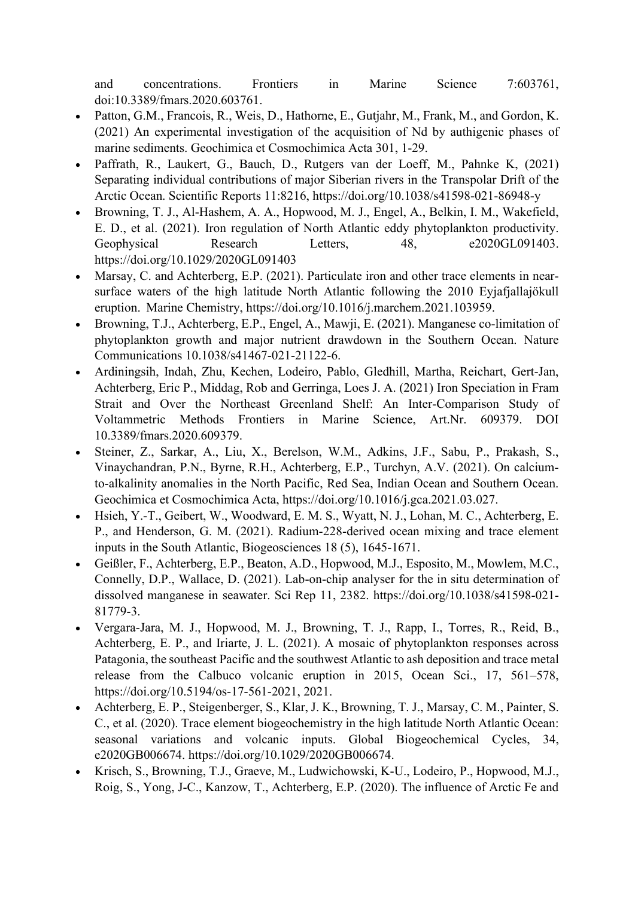and concentrations. Frontiers in Marine Science 7:603761, doi:10.3389/fmars.2020.603761.

- Patton, G.M., Francois, R., Weis, D., Hathorne, E., Gutjahr, M., Frank, M., and Gordon, K. (2021) An experimental investigation of the acquisition of Nd by authigenic phases of marine sediments. Geochimica et Cosmochimica Acta 301, 1-29.
- Paffrath, R., Laukert, G., Bauch, D., Rutgers van der Loeff, M., Pahnke K, (2021) Separating individual contributions of major Siberian rivers in the Transpolar Drift of the Arctic Ocean. Scientific Reports 11:8216, https://doi.org/10.1038/s41598-021-86948-y
- Browning, T. J., Al‐Hashem, A. A., Hopwood, M. J., Engel, A., Belkin, I. M., Wakefield, E. D., et al. (2021). Iron regulation of North Atlantic eddy phytoplankton productivity. Geophysical Research Letters, 48, e2020GL091403. https://doi.org/10.1029/2020GL091403
- Marsay, C. and Achterberg, E.P. (2021). Particulate iron and other trace elements in nearsurface waters of the high latitude North Atlantic following the 2010 Eyjafjallajökull eruption.  Marine Chemistry, https://doi.org/10.1016/j.marchem.2021.103959.
- Browning, T.J., Achterberg, E.P., Engel, A., Mawji, E. (2021). Manganese co-limitation of phytoplankton growth and major nutrient drawdown in the Southern Ocean. Nature Communications 10.1038/s41467-021-21122-6.
- Ardiningsih, Indah, Zhu, Kechen, Lodeiro, Pablo, Gledhill, Martha, Reichart, Gert-Jan, Achterberg, Eric P., Middag, Rob and Gerringa, Loes J. A. (2021) Iron Speciation in Fram Strait and Over the Northeast Greenland Shelf: An Inter-Comparison Study of Voltammetric Methods Frontiers in Marine Science, Art.Nr. 609379. DOI 10.3389/fmars.2020.609379.
- Steiner, Z., Sarkar, A., Liu, X., Berelson, W.M., Adkins, J.F., Sabu, P., Prakash, S., Vinaychandran, P.N., Byrne, R.H., Achterberg, E.P., Turchyn, A.V. (2021). On calciumto-alkalinity anomalies in the North Pacific, Red Sea, Indian Ocean and Southern Ocean. Geochimica et Cosmochimica Acta, https://doi.org/10.1016/j.gca.2021.03.027.
- Hsieh, Y.-T., Geibert, W., Woodward, E. M. S., Wyatt, N. J., Lohan, M. C., Achterberg, E. P., and Henderson, G. M. (2021). Radium-228-derived ocean mixing and trace element inputs in the South Atlantic, Biogeosciences 18 (5), 1645-1671.
- Geißler, F., Achterberg, E.P., Beaton, A.D., Hopwood, M.J., Esposito, M., Mowlem, M.C., Connelly, D.P., Wallace, D. (2021). Lab-on-chip analyser for the in situ determination of dissolved manganese in seawater. Sci Rep 11, 2382. https://doi.org/10.1038/s41598-021- 81779-3.
- Vergara-Jara, M. J., Hopwood, M. J., Browning, T. J., Rapp, I., Torres, R., Reid, B., Achterberg, E. P., and Iriarte, J. L. (2021). A mosaic of phytoplankton responses across Patagonia, the southeast Pacific and the southwest Atlantic to ash deposition and trace metal release from the Calbuco volcanic eruption in 2015, Ocean Sci., 17, 561–578, https://doi.org/10.5194/os-17-561-2021, 2021.
- Achterberg, E. P., Steigenberger, S., Klar, J. K., Browning, T. J., Marsay, C. M., Painter, S. C., et al. (2020). Trace element biogeochemistry in the high latitude North Atlantic Ocean: seasonal variations and volcanic inputs. Global Biogeochemical Cycles, 34, e2020GB006674. https://doi.org/10.1029/2020GB006674.
- Krisch, S., Browning, T.J., Graeve, M., Ludwichowski, K-U., Lodeiro, P., Hopwood, M.J., Roig, S., Yong, J-C., Kanzow, T., Achterberg, E.P. (2020). The influence of Arctic Fe and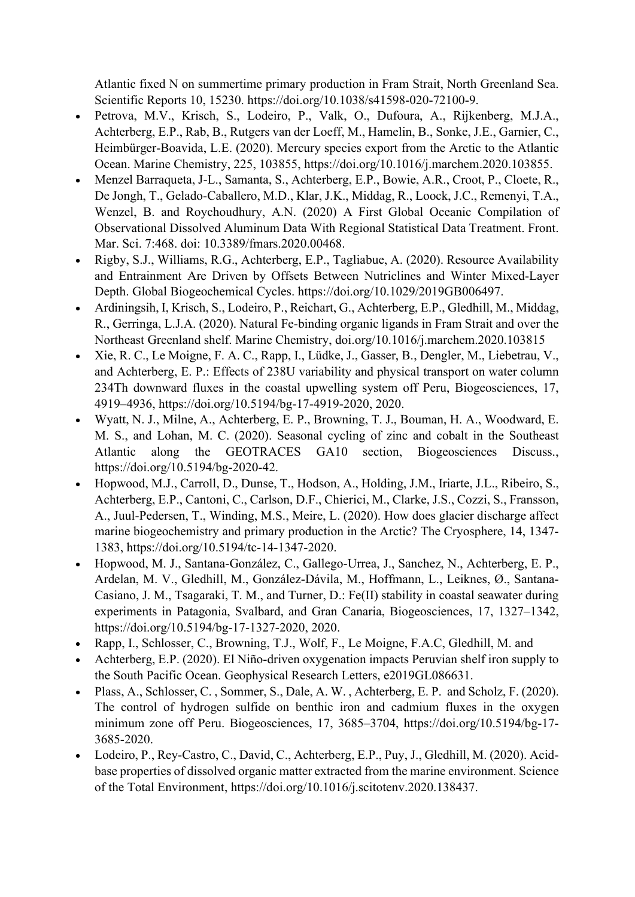Atlantic fixed N on summertime primary production in Fram Strait, North Greenland Sea. Scientific Reports 10, 15230. https://doi.org/10.1038/s41598-020-72100-9.

- Petrova, M.V., Krisch, S., Lodeiro, P., Valk, O., Dufoura, A., Rijkenberg, M.J.A., Achterberg, E.P., Rab, B., Rutgers van der Loeff, M., Hamelin, B., Sonke, J.E., Garnier, C., Heimbürger-Boavida, L.E. (2020). Mercury species export from the Arctic to the Atlantic Ocean. Marine Chemistry, 225, 103855, https://doi.org/10.1016/j.marchem.2020.103855.
- Menzel Barraqueta, J-L., Samanta, S., Achterberg, E.P., Bowie, A.R., Croot, P., Cloete, R., De Jongh, T., Gelado-Caballero, M.D., Klar, J.K., Middag, R., Loock, J.C., Remenyi, T.A., Wenzel, B. and Roychoudhury, A.N. (2020) A First Global Oceanic Compilation of Observational Dissolved Aluminum Data With Regional Statistical Data Treatment. Front. Mar. Sci. 7:468. doi: 10.3389/fmars.2020.00468.
- Rigby, S.J., Williams, R.G., Achterberg, E.P., Tagliabue, A. (2020). Resource Availability and Entrainment Are Driven by Offsets Between Nutriclines and Winter Mixed‐Layer Depth. Global Biogeochemical Cycles. https://doi.org/10.1029/2019GB006497.
- Ardiningsih, I, Krisch, S., Lodeiro, P., Reichart, G., Achterberg, E.P., Gledhill, M., Middag, R., Gerringa, L.J.A. (2020). Natural Fe-binding organic ligands in Fram Strait and over the Northeast Greenland shelf. Marine Chemistry, doi.org/10.1016/j.marchem.2020.103815
- Xie, R. C., Le Moigne, F. A. C., Rapp, I., Lüdke, J., Gasser, B., Dengler, M., Liebetrau, V., and Achterberg, E. P.: Effects of 238U variability and physical transport on water column 234Th downward fluxes in the coastal upwelling system off Peru, Biogeosciences, 17, 4919–4936, https://doi.org/10.5194/bg-17-4919-2020, 2020.
- Wyatt, N. J., Milne, A., Achterberg, E. P., Browning, T. J., Bouman, H. A., Woodward, E. M. S., and Lohan, M. C. (2020). Seasonal cycling of zinc and cobalt in the Southeast Atlantic along the GEOTRACES GA10 section, Biogeosciences Discuss., https://doi.org/10.5194/bg-2020-42.
- Hopwood, M.J., Carroll, D., Dunse, T., Hodson, A., Holding, J.M., Iriarte, J.L., Ribeiro, S., Achterberg, E.P., Cantoni, C., Carlson, D.F., Chierici, M., Clarke, J.S., Cozzi, S., Fransson, A., Juul-Pedersen, T., Winding, M.S., Meire, L. (2020). How does glacier discharge affect marine biogeochemistry and primary production in the Arctic? The Cryosphere, 14, 1347- 1383, https://doi.org/10.5194/tc-14-1347-2020.
- Hopwood, M. J., Santana-González, C., Gallego-Urrea, J., Sanchez, N., Achterberg, E. P., Ardelan, M. V., Gledhill, M., González-Dávila, M., Hoffmann, L., Leiknes, Ø., Santana-Casiano, J. M., Tsagaraki, T. M., and Turner, D.: Fe(II) stability in coastal seawater during experiments in Patagonia, Svalbard, and Gran Canaria, Biogeosciences, 17, 1327–1342, https://doi.org/10.5194/bg-17-1327-2020, 2020.
- Rapp, I., Schlosser, C., Browning, T.J., Wolf, F., Le Moigne, F.A.C, Gledhill, M. and
- Achterberg, E.P. (2020). El Niño-driven oxygenation impacts Peruvian shelf iron supply to the South Pacific Ocean. Geophysical Research Letters, e2019GL086631.
- Plass, A., Schlosser, C. , Sommer, S., Dale, A. W. , Achterberg, E. P. and Scholz, F. (2020). The control of hydrogen sulfide on benthic iron and cadmium fluxes in the oxygen minimum zone off Peru. Biogeosciences, 17, 3685–3704, https://doi.org/10.5194/bg-17- 3685-2020.
- Lodeiro, P., Rey-Castro, C., David, C., Achterberg, E.P., Puy, J., Gledhill, M. (2020). Acidbase properties of dissolved organic matter extracted from the marine environment. Science of the Total Environment, https://doi.org/10.1016/j.scitotenv.2020.138437.